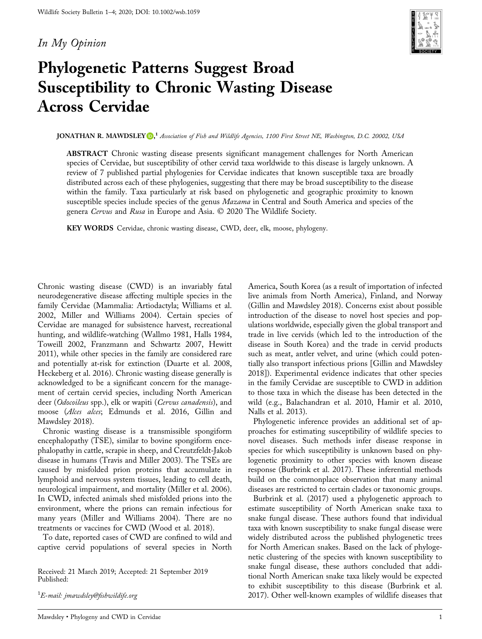# In My Opinion



# Phylogenetic Patterns Suggest Broad Susceptibility to Chronic Wasting Disease Across Cervidae

 ${\rm JONATHAN~R.~MAWDSLEY}$  [,](http://orcid.org/0000-0002-4532-8603)  $^1$  Association of Fish and Wildlife Agencies, 1100 First Street NE, Washington, D.C. 20002, USA

ABSTRACT Chronic wasting disease presents significant management challenges for North American species of Cervidae, but susceptibility of other cervid taxa worldwide to this disease is largely unknown. A review of 7 published partial phylogenies for Cervidae indicates that known susceptible taxa are broadly distributed across each of these phylogenies, suggesting that there may be broad susceptibility to the disease within the family. Taxa particularly at risk based on phylogenetic and geographic proximity to known susceptible species include species of the genus *Mazama* in Central and South America and species of the genera Cervus and Rusa in Europe and Asia. © 2020 The Wildlife Society.

KEY WORDS Cervidae, chronic wasting disease, CWD, deer, elk, moose, phylogeny.

Chronic wasting disease (CWD) is an invariably fatal neurodegenerative disease affecting multiple species in the family Cervidae (Mammalia: Artiodactyla; Williams et al. 2002, Miller and Williams 2004). Certain species of Cervidae are managed for subsistence harvest, recreational hunting, and wildlife‐watching (Wallmo 1981, Halls 1984, Toweill 2002, Franzmann and Schwartz 2007, Hewitt 2011), while other species in the family are considered rare and potentially at‐risk for extinction (Duarte et al. 2008, Heckeberg et al. 2016). Chronic wasting disease generally is acknowledged to be a significant concern for the management of certain cervid species, including North American deer (Odocoileus spp.), elk or wapiti (Cervus canadensis), and moose (Alces alces; Edmunds et al. 2016, Gillin and Mawdsley 2018).

Chronic wasting disease is a transmissible spongiform encephalopathy (TSE), similar to bovine spongiform encephalopathy in cattle, scrapie in sheep, and Creutzfeldt‐Jakob disease in humans (Travis and Miller 2003). The TSEs are caused by misfolded prion proteins that accumulate in lymphoid and nervous system tissues, leading to cell death, neurological impairment, and mortality (Miller et al. 2006). In CWD, infected animals shed misfolded prions into the environment, where the prions can remain infectious for many years (Miller and Williams 2004). There are no treatments or vaccines for CWD (Wood et al. 2018).

To date, reported cases of CWD are confined to wild and captive cervid populations of several species in North

Received: 21 March 2019; Accepted: 21 September 2019 Published:

 $^1\!E$ -mail: jmawdsley@fi[shwildife.org](mailto:jmawdsley@fishwildife.org)

America, South Korea (as a result of importation of infected live animals from North America), Finland, and Norway (Gillin and Mawdsley 2018). Concerns exist about possible introduction of the disease to novel host species and populations worldwide, especially given the global transport and trade in live cervids (which led to the introduction of the disease in South Korea) and the trade in cervid products such as meat, antler velvet, and urine (which could potentially also transport infectious prions [Gillin and Mawdsley 2018]). Experimental evidence indicates that other species in the family Cervidae are susceptible to CWD in addition to those taxa in which the disease has been detected in the wild (e.g., Balachandran et al. 2010, Hamir et al. 2010, Nalls et al. 2013).

Phylogenetic inference provides an additional set of approaches for estimating susceptibility of wildlife species to novel diseases. Such methods infer disease response in species for which susceptibility is unknown based on phylogenetic proximity to other species with known disease response (Burbrink et al. 2017). These inferential methods build on the commonplace observation that many animal diseases are restricted to certain clades or taxonomic groups.

Burbrink et al. (2017) used a phylogenetic approach to estimate susceptibility of North American snake taxa to snake fungal disease. These authors found that individual taxa with known susceptibility to snake fungal disease were widely distributed across the published phylogenetic trees for North American snakes. Based on the lack of phylogenetic clustering of the species with known susceptibility to snake fungal disease, these authors concluded that additional North American snake taxa likely would be expected to exhibit susceptibility to this disease (Burbrink et al. 2017). Other well‐known examples of wildlife diseases that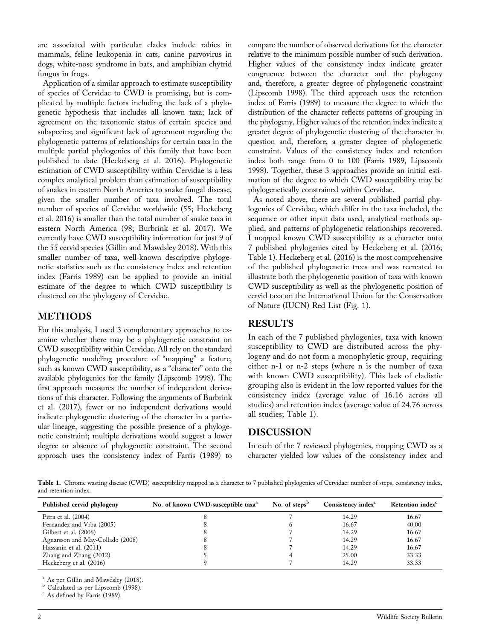are associated with particular clades include rabies in mammals, feline leukopenia in cats, canine parvovirus in dogs, white‐nose syndrome in bats, and amphibian chytrid fungus in frogs.

Application of a similar approach to estimate susceptibility of species of Cervidae to CWD is promising, but is complicated by multiple factors including the lack of a phylogenetic hypothesis that includes all known taxa; lack of agreement on the taxonomic status of certain species and subspecies; and significant lack of agreement regarding the phylogenetic patterns of relationships for certain taxa in the multiple partial phylogenies of this family that have been published to date (Heckeberg et al. 2016). Phylogenetic estimation of CWD susceptibility within Cervidae is a less complex analytical problem than estimation of susceptibility of snakes in eastern North America to snake fungal disease, given the smaller number of taxa involved. The total number of species of Cervidae worldwide (55; Heckeberg et al. 2016) is smaller than the total number of snake taxa in eastern North America (98; Burbrink et al. 2017). We currently have CWD susceptibility information for just 9 of the 55 cervid species (Gillin and Mawdsley 2018). With this smaller number of taxa, well-known descriptive phylogenetic statistics such as the consistency index and retention index (Farris 1989) can be applied to provide an initial estimate of the degree to which CWD susceptibility is clustered on the phylogeny of Cervidae.

# METHODS

For this analysis, I used 3 complementary approaches to examine whether there may be a phylogenetic constraint on CWD susceptibility within Cervidae. All rely on the standard phylogenetic modeling procedure of "mapping" a feature, such as known CWD susceptibility, as a "character" onto the available phylogenies for the family (Lipscomb 1998). The first approach measures the number of independent derivations of this character. Following the arguments of Burbrink et al. (2017), fewer or no independent derivations would indicate phylogenetic clustering of the character in a particular lineage, suggesting the possible presence of a phylogenetic constraint; multiple derivations would suggest a lower degree or absence of phylogenetic constraint. The second approach uses the consistency index of Farris (1989) to

compare the number of observed derivations for the character relative to the minimum possible number of such derivation. Higher values of the consistency index indicate greater congruence between the character and the phylogeny and, therefore, a greater degree of phylogenetic constraint (Lipscomb 1998). The third approach uses the retention index of Farris (1989) to measure the degree to which the distribution of the character reflects patterns of grouping in the phylogeny. Higher values of the retention index indicate a greater degree of phylogenetic clustering of the character in question and, therefore, a greater degree of phylogenetic constraint. Values of the consistency index and retention index both range from 0 to 100 (Farris 1989, Lipscomb 1998). Together, these 3 approaches provide an initial estimation of the degree to which CWD susceptibility may be phylogenetically constrained within Cervidae.

As noted above, there are several published partial phylogenies of Cervidae, which differ in the taxa included, the sequence or other input data used, analytical methods applied, and patterns of phylogenetic relationships recovered. I mapped known CWD susceptibility as a character onto 7 published phylogenies cited by Heckeberg et al. (2016; Table 1). Heckeberg et al. (2016) is the most comprehensive of the published phylogenetic trees and was recreated to illustrate both the phylogenetic position of taxa with known CWD susceptibility as well as the phylogenetic position of cervid taxa on the International Union for the Conservation of Nature (IUCN) Red List (Fig. 1).

## RESULTS

In each of the 7 published phylogenies, taxa with known susceptibility to CWD are distributed across the phylogeny and do not form a monophyletic group, requiring either n‐1 or n‐2 steps (where n is the number of taxa with known CWD susceptibility). This lack of cladistic grouping also is evident in the low reported values for the consistency index (average value of 16.16 across all studies) and retention index (average value of 24.76 across all studies; Table 1).

### DISCUSSION

In each of the 7 reviewed phylogenies, mapping CWD as a character yielded low values of the consistency index and

Table 1. Chronic wasting disease (CWD) susceptibility mapped as a character to 7 published phylogenies of Cervidae: number of steps, consistency index, and retention index.

| Published cervid phylogeny       | No. of known CWD-susceptible taxa <sup>a</sup> | No. of steps <sup>b</sup> | Consistency index <sup>c</sup> | Retention index <sup>c</sup> |
|----------------------------------|------------------------------------------------|---------------------------|--------------------------------|------------------------------|
| Pitra et al. $(2004)$            |                                                |                           | 14.29                          | 16.67                        |
| Fernandez and Vrba (2005)        |                                                |                           | 16.67                          | 40.00                        |
| Gilbert et al. (2006)            |                                                |                           | 14.29                          | 16.67                        |
| Agnarsson and May-Collado (2008) |                                                |                           | 14.29                          | 16.67                        |
| Hassanin et al. (2011)           |                                                |                           | 14.29                          | 16.67                        |
| Zhang and Zhang (2012)           |                                                |                           | 25.00                          | 33.33                        |
| Heckeberg et al. (2016)          |                                                |                           | 14.29                          | 33.33                        |

<sup>a</sup> As per Gillin and Mawdsley (2018).

<sup>b</sup> Calculated as per Lipscomb (1998).<br><sup>c</sup> As defined by Farris (1989).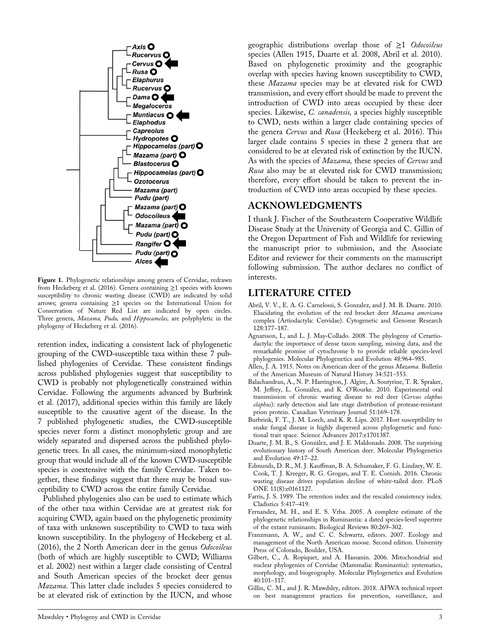

Figure 1. Phylogenetic relationships among genera of Cervidae, redrawn from Heckeberg et al. (2016). Genera containing ≥1 species with known susceptibility to chronic wasting disease (CWD) are indicated by solid arrows; genera containing ≥1 species on the International Union for Conservation of Nature Red List are indicated by open circles. Three genera, Mazama, Pudu, and Hippocamelas, are polyphyletic in the phylogeny of Heckeberg et al. (2016).

retention index, indicating a consistent lack of phylogenetic grouping of the CWD‐susceptible taxa within these 7 published phylogenies of Cervidae. These consistent findings across published phylogenies suggest that susceptibility to CWD is probably not phylogenetically constrained within Cervidae. Following the arguments advanced by Burbrink et al. (2017), additional species within this family are likely susceptible to the causative agent of the disease. In the 7 published phylogenetic studies, the CWD‐susceptible species never form a distinct monophyletic group and are widely separated and dispersed across the published phylogenetic trees. In all cases, the minimum‐sized monophyletic group that would include all of the known CWD‐susceptible species is coextensive with the family Cervidae. Taken together, these findings suggest that there may be broad susceptibility to CWD across the entire family Cervidae.

Published phylogenies also can be used to estimate which of the other taxa within Cervidae are at greatest risk for acquiring CWD, again based on the phylogenetic proximity of taxa with unknown susceptibility to CWD to taxa with known susceptibility. In the phylogeny of Heckeberg et al. (2016), the 2 North American deer in the genus Odocoileus (both of which are highly susceptible to CWD; Williams et al. 2002) nest within a larger clade consisting of Central and South American species of the brocket deer genus Mazama. This latter clade includes 5 species considered to be at elevated risk of extinction by the IUCN, and whose

geographic distributions overlap those of ≥1 Odocoileus species (Allen 1915, Duarte et al. 2008, Abril et al. 2010). Based on phylogenetic proximity and the geographic overlap with species having known susceptibility to CWD, these Mazama species may be at elevated risk for CWD transmission, and every effort should be made to prevent the introduction of CWD into areas occupied by these deer species. Likewise, *C. canadensis*, a species highly susceptible to CWD, nests within a larger clade containing species of the genera Cervus and Rusa (Heckeberg et al. 2016). This larger clade contains 5 species in these 2 genera that are considered to be at elevated risk of extinction by the IUCN. As with the species of *Mazama*, these species of *Cervus* and Rusa also may be at elevated risk for CWD transmission; therefore, every effort should be taken to prevent the introduction of CWD into areas occupied by these species.

#### ACKNOWLEDGMENTS

I thank J. Fischer of the Southeastern Cooperative Wildlife Disease Study at the University of Georgia and C. Gillin of the Oregon Department of Fish and Wildlife for reviewing the manuscript prior to submission, and the Associate Editor and reviewer for their comments on the manuscript following submission. The author declares no conflict of interests.

### LITERATURE CITED

- Abril, V. V., E. A. G. Carnelossi, S. Gonzalez, and J. M. B. Duarte. 2010. Elucidating the evolution of the red brocket deer Mazama americana complex (Artiodactyla: Cervidae). Cytogenetic and Genome Research 128:177–187.
- Agnarsson, I., and L. J. May‐Collado. 2008. The phylogeny of Cetartiodactyla: the importance of dense taxon sampling, missing data, and the remarkable promise of cytochrome b to provide reliable species‐level phylogenies. Molecular Phylogenetics and Evolution 48:964–985.
- Allen, J. A. 1915. Notes on American deer of the genus Mazama. Bulletin of the American Museum of Natural History 34:521–553.
- Balachandran, A., N. P. Harrington, J. Algire, A. Soutyrine, T. R. Spraker, M. Jeffrey, L. González, and K. O'Rourke. 2010. Experimental oral transmission of chronic wasting disease to red deer (Cervus elaphus elaphus): early detection and late stage distribution of protease-resistant prion protein. Canadian Veterinary Journal 51:169–178.
- Burbrink, F. T., J. M. Lorch, and K. R. Lips. 2017. Host susceptibility to snake fungal disease is highly dispersed across phylogenetic and functional trait space. Science Advances 2017:e1701387.
- Duarte, J. M. B., S. González, and J. E. Maldonado. 2008. The surprising evolutionary history of South American deer. Molecular Phylogenetics and Evolution 49:17–22.
- Edmunds, D. R., M. J. Kauffman, B. A. Schumaker, F. G. Lindzey, W. E. Cook, T. J. Kreeger, R. G. Grogan, and T. E. Cornish. 2016. Chronic wasting disease drives population decline of white-tailed deer. PLoS ONE 11(8):e0161127.
- Farris, J. S. 1989. The retention index and the rescaled consistency index. Cladistics 5:417–419.
- Fernandez, M. H., and E. S. Vrba. 2005. A complete estimate of the phylogenetic relationships in Ruminantia: a dated species‐level supertree of the extant ruminants. Biological Reviews 80:269–302.
- Franzmann, A. W., and C. C. Schwartz, editors. 2007. Ecology and management of the North American moose. Second edition. University Press of Colorado, Boulder, USA.
- Gilbert, C., A. Ropiquet, and A. Hassanin. 2006. Mitochondrial and nuclear phylogenies of Cervidae (Mammalia: Ruminantia): systematics, morphology, and biogeography. Molecular Phylogenetics and Evolution 40:101–117.
- Gillin, C. M., and J. R. Mawdsley, editors. 2018. AFWA technical report on best management practices for prevention, surveillance, and